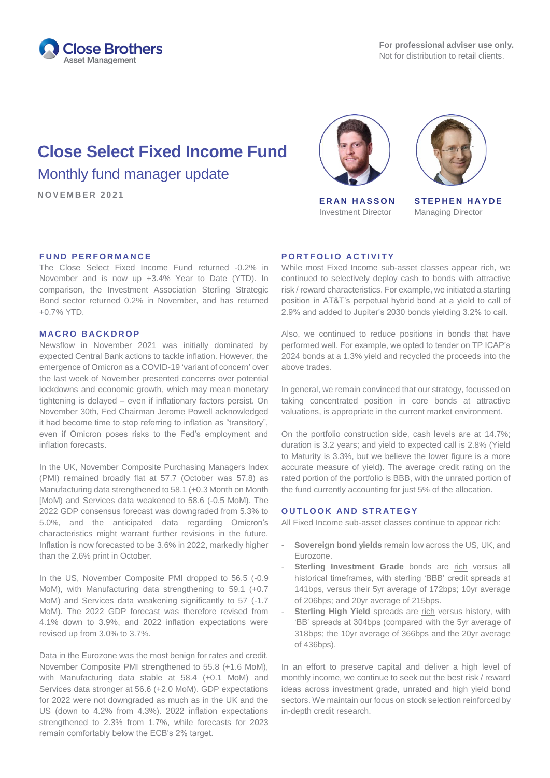

# **Close Select Fixed Income Fund**

Monthly fund manager update

**N O V E M B E R 2 0 2 1 E R A N H A S S O N**



Investment Director



**STEPHEN HAYDE** Managing Director

## **FUND PERFORMANCE**

The Close Select Fixed Income Fund returned -0.2% in November and is now up +3.4% Year to Date (YTD). In comparison, the Investment Association Sterling Strategic Bond sector returned 0.2% in November, and has returned +0.7% YTD.

## **M A C R O B A C K D R O P**

Newsflow in November 2021 was initially dominated by expected Central Bank actions to tackle inflation. However, the emergence of Omicron as a COVID-19 'variant of concern' over the last week of November presented concerns over potential lockdowns and economic growth, which may mean monetary tightening is delayed – even if inflationary factors persist. On November 30th, Fed Chairman Jerome Powell acknowledged it had become time to stop referring to inflation as "transitory", even if Omicron poses risks to the Fed's employment and inflation forecasts.

In the UK, November Composite Purchasing Managers Index (PMI) remained broadly flat at 57.7 (October was 57.8) as Manufacturing data strengthened to 58.1 (+0.3 Month on Month [MoM) and Services data weakened to 58.6 (-0.5 MoM). The 2022 GDP consensus forecast was downgraded from 5.3% to 5.0%, and the anticipated data regarding Omicron's characteristics might warrant further revisions in the future. Inflation is now forecasted to be 3.6% in 2022, markedly higher than the 2.6% print in October.

In the US, November Composite PMI dropped to 56.5 (-0.9 MoM), with Manufacturing data strengthening to 59.1 (+0.7 MoM) and Services data weakening significantly to 57 (-1.7 MoM). The 2022 GDP forecast was therefore revised from 4.1% down to 3.9%, and 2022 inflation expectations were revised up from 3.0% to 3.7%.

Data in the Eurozone was the most benign for rates and credit. November Composite PMI strengthened to 55.8 (+1.6 MoM), with Manufacturing data stable at 58.4 (+0.1 MoM) and Services data stronger at 56.6 (+2.0 MoM). GDP expectations for 2022 were not downgraded as much as in the UK and the US (down to 4.2% from 4.3%). 2022 inflation expectations strengthened to 2.3% from 1.7%, while forecasts for 2023 remain comfortably below the ECB's 2% target.

#### **PORTFOLIO ACTIVITY**

While most Fixed Income sub-asset classes appear rich, we continued to selectively deploy cash to bonds with attractive risk / reward characteristics. For example, we initiated a starting position in AT&T's perpetual hybrid bond at a yield to call of 2.9% and added to Jupiter's 2030 bonds yielding 3.2% to call.

Also, we continued to reduce positions in bonds that have performed well. For example, we opted to tender on TP ICAP's 2024 bonds at a 1.3% yield and recycled the proceeds into the above trades.

In general, we remain convinced that our strategy, focussed on taking concentrated position in core bonds at attractive valuations, is appropriate in the current market environment.

On the portfolio construction side, cash levels are at 14.7%; duration is 3.2 years; and yield to expected call is 2.8% (Yield to Maturity is 3.3%, but we believe the lower figure is a more accurate measure of yield). The average credit rating on the rated portion of the portfolio is BBB, with the unrated portion of the fund currently accounting for just 5% of the allocation.

## **OUTLOOK AND STRATEGY**

All Fixed Income sub-asset classes continue to appear rich:

- **Sovereign bond yields** remain low across the US, UK, and Eurozone.
- Sterling Investment Grade bonds are rich versus all historical timeframes, with sterling 'BBB' credit spreads at 141bps, versus their 5yr average of 172bps; 10yr average of 206bps; and 20yr average of 215bps.
- Sterling High Yield spreads are rich versus history, with 'BB' spreads at 304bps (compared with the 5yr average of 318bps; the 10yr average of 366bps and the 20yr average of 436bps).

In an effort to preserve capital and deliver a high level of monthly income, we continue to seek out the best risk / reward ideas across investment grade, unrated and high yield bond sectors. We maintain our focus on stock selection reinforced by in-depth credit research.